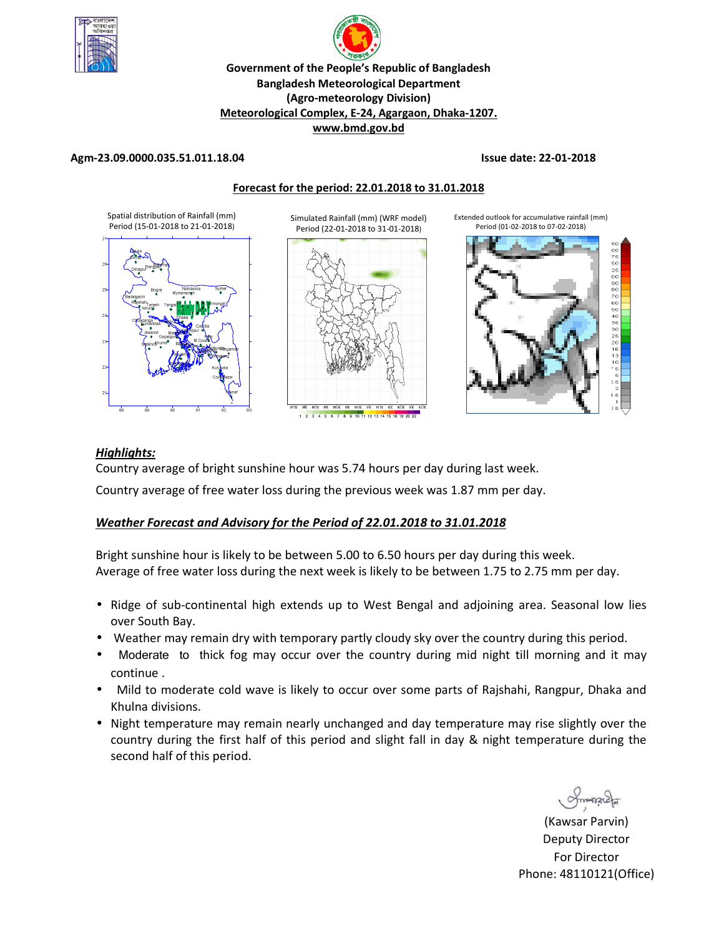

# p **Government of the People's Republic of Bangladesh Bangladesh Meteorological Department (Agro-meteorology Division) Meteorological Complex, E-24, Agargaon, Dhaka-1207. www.bmd.gov.bd**

### **Agm-23.09.0000.035.51.011.18.04 Issue date: 22-01-2018**



### *Highlights:*

Country average of bright sunshine hour was 5.74 hours per day during last week.

Country average of free water loss during the previous week was 1.87 mm per day.

### *Weather Forecast and Advisory for the Period of 22.01.2018 to 31.01.2018*

Bright sunshine hour is likely to be between 5.00 to 6.50 hours per day during this week. Average of free water loss during the next week is likely to be between 1.75 to 2.75 mm per day.

- Ridge of sub-continental high extends up to West Bengal and adjoining area. Seasonal low lies over South Bay.
- Weather may remain dry with temporary partly cloudy sky over the country during this period.
- Moderate to thick fog may occur over the country during mid night till morning and it may continue .
- Mild to moderate cold wave is likely to occur over some parts of Rajshahi, Rangpur, Dhaka and Khulna divisions.
- Night temperature may remain nearly unchanged and day temperature may rise slightly over the country during the first half of this period and slight fall in day & night temperature during the second half of this period.

(Kawsar Parvin) Deputy Director For Director Phone: 48110121(Office)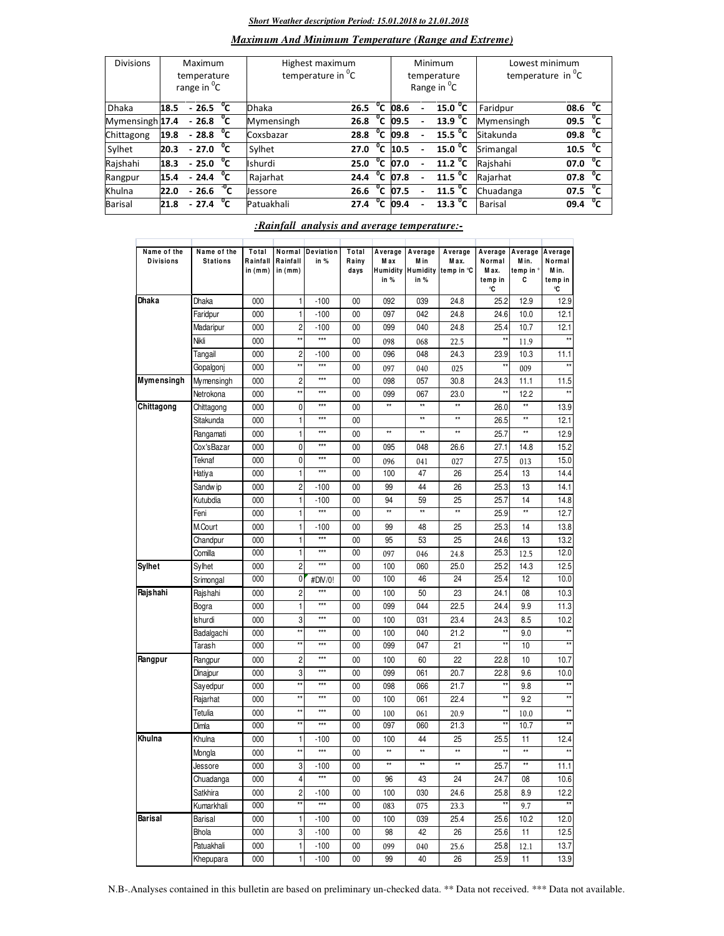#### *Short Weather description Period: 15.01.2018 to 21.01.2018*

### *Maximum And Minimum Temperature (Range and Extreme)*

| <b>Divisions</b> | Maximum<br>temperature<br>range in <sup>o</sup> C |                           |                | Highest maximum<br>temperature in <sup>0</sup> C |      |                  |      | Minimum<br>temperature<br>Range in <sup>O</sup> C | Lowest minimum<br>temperature in <sup>o</sup> C |                      |  |
|------------------|---------------------------------------------------|---------------------------|----------------|--------------------------------------------------|------|------------------|------|---------------------------------------------------|-------------------------------------------------|----------------------|--|
| <b>Dhaka</b>     | 18.5                                              | $-26.5$                   | °c             | Dhaka                                            | 26.5 | $^0$ C           | 08.6 | 15.0 <sup>o</sup> C                               | Faridpur                                        | °c<br>08.6           |  |
| Mymensingh 17.4  |                                                   | $-26.8\text{ °C}$         |                | Mymensingh                                       | 26.8 | $^{\circ}$ c     | 09.5 | 13.9 $^{\circ}$ C                                 | Mymensingh                                      | °c<br>09.5           |  |
| Chittagong       | 19.8                                              | $-28.8\text{ °C}$         |                | Coxsbazar                                        | 28.8 | $^{\circ}$ c     | 09.8 | 15.5 $\degree$ C                                  | Sitakunda                                       | 09.8 <sup>o</sup> C  |  |
| Sylhet           | 20.3                                              | $-27.0\text{ °C}$         |                | Sylhet                                           | 27.0 | $^{\circ}$ c     | 10.5 | 15.0 $^{\circ}$ C                                 | Srimangal                                       | $10.5 \text{ °C}$    |  |
| Rajshahi         | 18.3                                              | $-25.0$                   | °c             | <b>Ishurdi</b>                                   | 25.0 |                  | 07.0 | $\overline{11.2}$ <sup>o</sup> C                  | Rajshahi                                        | $^{\circ}$ c<br>07.0 |  |
| Rangpur          | 15.4                                              | $-24.4 \text{ }^{\circ}C$ |                | Rajarhat                                         | 24.4 | $^{\circ}$ c     | 07.8 | 11.5 $^{0}C$                                      | Rajarhat                                        | $^{\circ}$ c<br>07.8 |  |
| Khulna           | 22.0                                              | $-26.6$                   | $\mathrm{C}^0$ | Jessore                                          | 26.6 | $^{\circ}$ c     | 07.5 | 11.5 $\degree$ C                                  | Chuadanga                                       | $07.5\text{ °C}$     |  |
| Barisal          | 21.8                                              | $-27.4$                   | °c             | Patuakhali                                       | 27.4 | $\mathfrak{a}_c$ | 09.4 | $13.3 \text{ °C}$                                 | <b>Barisal</b>                                  | °c<br>09.4           |  |

### *:Rainfall analysis and average temperature:-*

| Name of the<br><b>Divisions</b> | Name of the<br><b>Stations</b> | Total<br>Rainfall<br>in (mm) | Rainfall<br>in (mm)     | Normal Deviation<br>in $%$ | Total<br>Rainy<br>days | Average<br>M ax<br>Humidity<br>in $%$ | Average<br>M in<br>in % | Average<br>M ax.<br>Humidity temp in °C | Average<br>Normal<br>Max.<br>temp in<br>۰C | Average<br>M in.<br>temp in °<br>С | Average<br>Normal<br>M in.<br>temp in<br>۰C |
|---------------------------------|--------------------------------|------------------------------|-------------------------|----------------------------|------------------------|---------------------------------------|-------------------------|-----------------------------------------|--------------------------------------------|------------------------------------|---------------------------------------------|
| Dhaka                           | Dhaka                          | 000                          | $\mathbf{1}$            | $-100$                     | 00                     | 092                                   | 039                     | 24.8                                    | 25.2                                       | 12.9                               | 12.9                                        |
|                                 | Faridpur                       | 000                          | 1                       | $-100$                     | 00                     | 097                                   | 042                     | 24.8                                    | 24.6                                       | 10.0                               | 12.1                                        |
|                                 | Madaripur                      | 000                          | $\overline{c}$          | $-100$                     | 00                     | 099                                   | 040                     | 24.8                                    | 25.4                                       | 10.7                               | 12.1                                        |
|                                 | Nikli                          | 000                          | **                      | ***                        | 00                     | 098                                   | 068                     | 22.5                                    | $\star\star$                               | 11.9                               |                                             |
|                                 | Tangail                        | 000                          | $\overline{2}$          | $-100$                     | 00                     | 096                                   | 048                     | 24.3                                    | 23.9                                       | 10.3                               | 11.1                                        |
|                                 | Gopalgonj                      | 000                          | **                      | $***$                      | 00                     | 097                                   | 040                     | 025                                     | $\star\star$                               | 009                                | $\star$                                     |
| Mymensingh                      | Mymensingh                     | 000                          | $\overline{2}$          | $***$                      | 00                     | 098                                   | 057                     | 30.8                                    | 24.3                                       | 11.1                               | 11.5                                        |
|                                 | Netrokona                      | 000                          | **                      | ***                        | 00                     | 099                                   | 067                     | 23.0                                    | $\star\star$                               | 12.2                               |                                             |
| Chittagong                      | Chittagong                     | 000                          | 0                       | $***$                      | 00                     | $\star\star$                          | $\star\star$            | $\star\star$                            | 26.0                                       | $\star\star$                       | 13.9                                        |
|                                 | Sitakunda                      | 000                          | 1                       | $***$                      | 00                     |                                       | $\star\star$            | $^{\star\star}$                         | 26.5                                       | $\star\star$                       | 12.1                                        |
|                                 | Rangamati                      | 000                          | 1                       | $***$                      | 00                     | $\star\star$                          | **                      | $\star\star$                            | 25.7                                       | **                                 | 12.9                                        |
|                                 | Cox'sBazar                     | 000                          | 0                       | $***$                      | 00                     | 095                                   | 048                     | 26.6                                    | 27.1                                       | 14.8                               | 15.2                                        |
|                                 | Teknaf                         | 000                          | 0                       | $***$                      | 00                     | 096                                   | 041                     | 027                                     | 27.5                                       | 013                                | 15.0                                        |
|                                 | Hatiya                         | 000                          | $\mathbf{1}$            | $***$                      | 00                     | 100                                   | 47                      | 26                                      | 25.4                                       | 13                                 | 14.4                                        |
|                                 | Sandw ip                       | 000                          | $\overline{c}$          | $-100$                     | 00                     | 99                                    | 44                      | 26                                      | 25.3                                       | 13                                 | 14.1                                        |
|                                 | Kutubdia                       | 000                          | 1                       | $-100$                     | 00                     | 94                                    | 59                      | 25                                      | 25.7                                       | 14                                 | 14.8                                        |
|                                 | Feni                           | 000                          | 1                       | $***$                      | 00                     | $\star\star$                          | $\star\star$            | $\star\star$                            | 25.9                                       | $\star\star$                       | 12.7                                        |
|                                 | M.Court                        | 000                          | $\mathbf{1}$            | -100                       | 00                     | 99                                    | 48                      | 25                                      | 25.3                                       | 14                                 | 13.8                                        |
|                                 | Chandpur                       | 000                          | 1                       | $***$                      | 00                     | 95                                    | 53                      | 25                                      | 24.6                                       | 13                                 | 13.2                                        |
|                                 | Comilla                        | 000                          | 1                       | $***$                      | 00                     | 097                                   | 046                     | 24.8                                    | 25.3                                       | 12.5                               | 12.0                                        |
| Sylhet                          | Sylhet                         | 000                          | $\overline{2}$          | $***$                      | 00                     | 100                                   | 060                     | 25.0                                    | 25.2                                       | 14.3                               | 12.5                                        |
|                                 | Srimongal                      | 000                          | 0                       | #DIV/0!                    | 00                     | 100                                   | 46                      | 24                                      | 25.4                                       | 12                                 | 10.0                                        |
| Rajshahi                        | Rajshahi                       | 000                          | $\overline{2}$          | $***$                      | 00                     | 100                                   | 50                      | 23                                      | 24.1                                       | 08                                 | 10.3                                        |
|                                 | Bogra                          | 000                          | 1                       | $***$                      | 00                     | 099                                   | 044                     | 22.5                                    | 24.4                                       | 9.9                                | 11.3                                        |
|                                 | <b>Ishurdi</b>                 | 000                          | 3                       | ***                        | 00                     | 100                                   | 031                     | 23.4                                    | 24.3                                       | 8.5                                | 10.2                                        |
|                                 | Badalgachi                     | 000                          | **                      | $***$                      | 00                     | 100                                   | 040                     | 21.2                                    | $^{\star\star}$                            | 9.0                                | $^{\star\star}$                             |
|                                 | Tarash                         | 000                          | **                      | $***$                      | 00                     | 099                                   | 047                     | 21                                      | $\star\star$                               | 10                                 |                                             |
| Rangpur                         | Rangpur                        | 000                          | $\overline{c}$          | $***$                      | 00                     | 100                                   | 60                      | 22                                      | 22.8                                       | 10                                 | 10.7                                        |
|                                 | Dinajpur                       | 000                          | 3                       | ***                        | 00                     | 099                                   | 061                     | 20.7                                    | 22.8                                       | 9.6                                | 10.0                                        |
|                                 | Sayedpur                       | 000                          | xx                      | $***$                      | 00                     | 098                                   | 066                     | 21.7                                    | $\star\star$                               | 9.8                                | $**$                                        |
|                                 | Rajarhat                       | 000                          | **                      | ***                        | 00                     | 100                                   | 061                     | 22.4                                    | $\star\star$                               | 9.2                                | $\star\star$                                |
|                                 | Tetulia                        | 000                          | **                      | $***$                      | 00                     | 100                                   | 061                     | 20.9                                    | $\star\star$                               | 10.0                               | $^{\star\star}$                             |
|                                 | Dimla                          | 000                          | xx                      | $***$                      | 00                     | 097                                   | 060                     | 21.3                                    | $\star\star$                               | 10.7                               | $**$                                        |
| Khulna                          | Khulna                         | 000                          | $\mathbf{1}$            | -100                       | 00                     | 100                                   | 44                      | 25                                      | 25.5                                       | 11                                 | 12.4                                        |
|                                 | Mongla                         | 000                          | **                      | $***$                      | 00                     | $\star\star$                          | **                      | $\star\star$                            | $\star\star$                               | $\star\star$                       |                                             |
|                                 | Jessore                        | 000                          | 3                       | -100                       | 00                     | $\star\star$                          | $\star\star$            | $**$                                    | 25.7                                       | $\star\star$                       | 11.1                                        |
|                                 | Chuadanga                      | 000                          | $\overline{\mathbf{4}}$ | $***$                      | 00                     | 96                                    | 43                      | 24                                      | 24.7                                       | 08                                 | 10.6                                        |
|                                 | Satkhira                       | 000                          | $\overline{c}$          | $-100$                     | 00                     | 100                                   | 030                     | 24.6                                    | 25.8                                       | 8.9                                | 12.2                                        |
|                                 | Kumarkhali                     | 000                          | **                      | $***$                      | $\overline{00}$        | 083                                   | 075                     | 23.3                                    | $\star\star$                               | 9.7                                | $^{\star\star}$                             |
| Barisal                         | Barisal                        | 000                          | $\mathbf{1}$            | $-100$                     | 00                     | 100                                   | 039                     | 25.4                                    | 25.6                                       | 10.2                               | 12.0                                        |
|                                 | Bhola                          | 000                          | 3                       | $-100$                     | 00                     | 98                                    | 42                      | 26                                      | 25.6                                       | 11                                 | 12.5                                        |
|                                 | Patuakhali                     | 000                          | 1                       | $-100$                     | $00\,$                 | 099                                   | 040                     | 25.6                                    | 25.8                                       | 12.1                               | 13.7                                        |
|                                 | Khepupara                      | 000                          | 1                       | $-100$                     | $00\,$                 | 99                                    | 40                      | 26                                      | 25.9                                       | 11                                 | 13.9                                        |
|                                 |                                |                              |                         |                            |                        |                                       |                         |                                         |                                            |                                    |                                             |

N.B-.Analyses contained in this bulletin are based on preliminary un-checked data. \*\* Data not received. \*\*\* Data not available.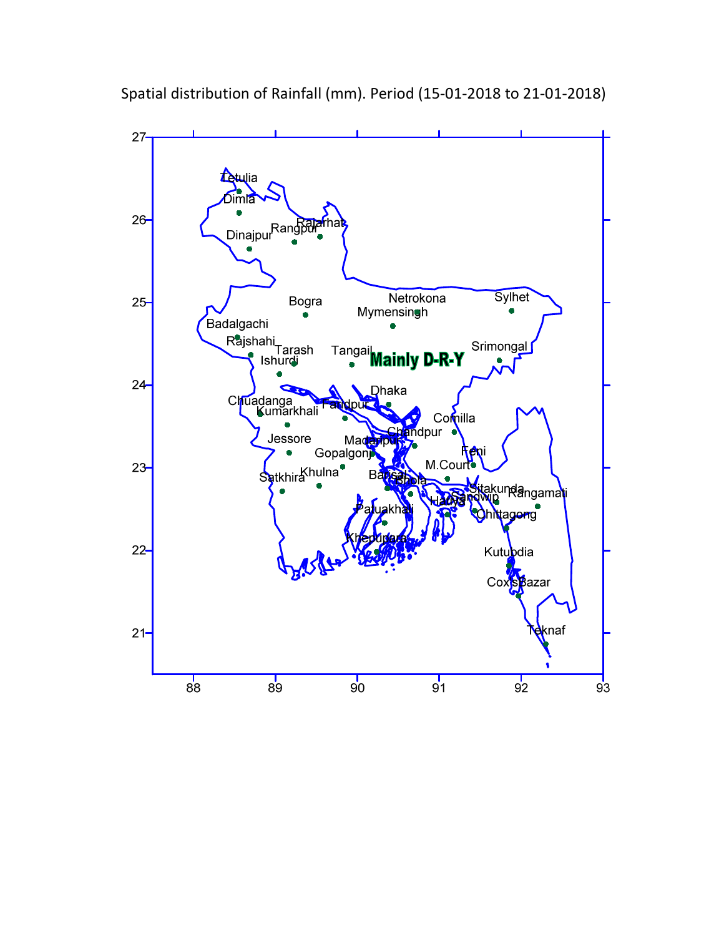

Spatial distribution of Rainfall (mm). Period (15-01-2018 to 21-01-2018)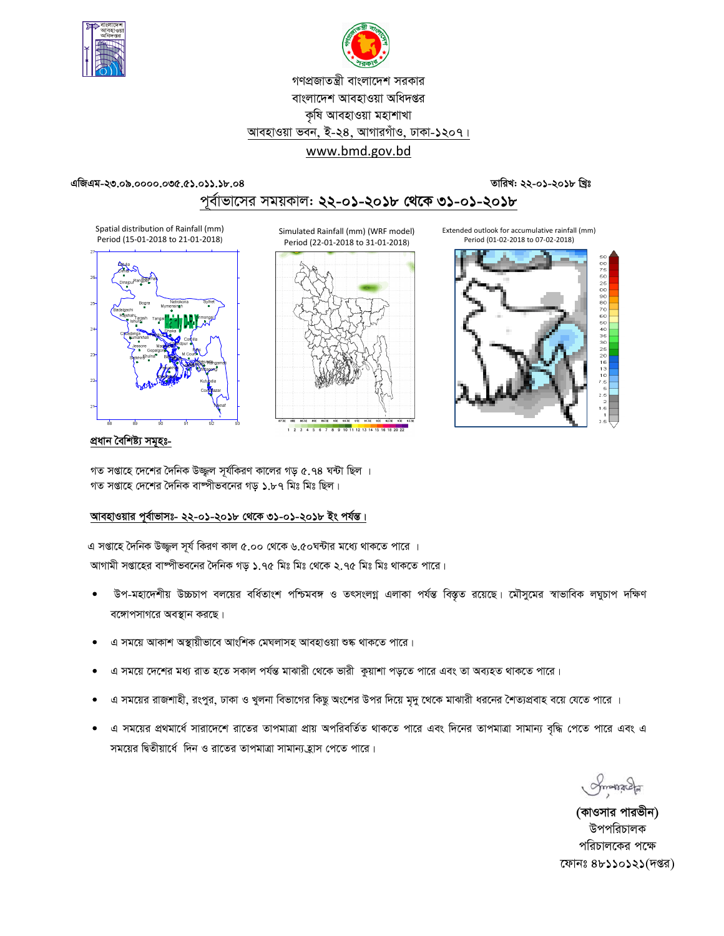



## গণপ্রজাতন্ত্রী বাংলাদেশ সরকার বাংলাদেশ আবহাওয়া অধিদপ্তর কৃষি আবহাওয়া মহাশাখা আবহাওয়া ভবন, ই-২৪, আগারগাঁও, ঢাকা-১২০৭। www.bmd.gov.bd

#### এজিএম-২৩.০৯.০০০০.০৩৫.৫১.০১১.১৮.০৪

### তারিখ: ২২-০১-২০১৮ খ্রিঃ

## পূর্বাভাসের সময়কাল: ২২-০১-২০১৮ থেকে ৩১-০১-২০১৮

Spatial distribution of Rainfall (mm) Period (15-01-2018 to 21-01-2018)



Simulated Rainfall (mm) (WRF model) Period (22-01-2018 to 31-01-2018)



1 2 3 4 5 6 7 8 9 10 11 12 13 14 15 16 18 20 22



প্ৰধান বৈশিষ্ট্য সমূহঃ-

গত সপ্তাহে দেশের দৈনিক উজ্জ্বল সূর্যকিরণ কালের গড় ৫.৭৪ ঘন্টা ছিল । গত সপ্তাহে দেশের দৈনিক বাঙ্গীভবনের গড় ১.৮৭ মিঃ মিঃ ছিল।

### আবহাওয়ার পূর্বাভাসঃ- ২২-০১-২০১৮ থেকে ৩১-০১-২০১৮ ইং পর্যন্ত।

এ সপ্তাহে দৈনিক উজ্জ্বল সূর্য কিরণ কাল ৫.০০ থেকে ৬.৫০ঘন্টার মধ্যে থাকতে পারে । আগামী সপ্তাহের বাষ্পীভবনের দৈনিক গড় ১.৭৫ মিঃ মিঃ থেকে ২.৭৫ মিঃ মিঃ থাকতে পারে।

- উপ-মহাদেশীয় উচ্চচাপ বলয়ের বর্ধিতাংশ পশ্চিমবঙ্গ ও তৎসংলগ্ন এলাকা পর্যন্ত বিস্তৃত রয়েছে। মৌসুমের স্বাভাবিক লঘুচাপ দক্ষিণ বঙ্গোপসাগরে অবস্থান করছে।
- এ সময়ে আকাশ অস্থায়ীভাবে আংশিক মেঘলাসহ আবহাওয়া শুষ্ক থাকতে পারে।
- এ সময়ে দেশের মধ্য রাত হতে সকাল পর্যন্ত মাঝারী থেকে ভারী কয়াশা পডতে পারে এবং তা অব্যহত থাকতে পারে।
- এ সময়ের রাজশাহী, রংপুর, ঢাকা ও খুলনা বিভাগের কিছু অংশের উপর দিয়ে মৃদু থেকে মাঝারী ধরনের শৈত্যপ্রবাহ বয়ে যেতে পারে ।
- এ সময়ের প্রথমার্ধে সারাদেশে রাতের তাপমাত্রা প্রায় অপরিবর্তিত থাকতে পারে এবং দিনের তাপমাত্রা সামান্য বৃদ্ধি পেতে পারে এবং এ সময়ের দ্বিতীয়ার্ধে দিন ও রাতের তাপমাত্রা সামান্য হ্রাস পেতে পারে।

*Symonacla* 

(কাওসার পারভীন) উপপরিচালক পরিচালকের পক্ষে ফোনঃ ৪৮১১০১২১(দপ্তর)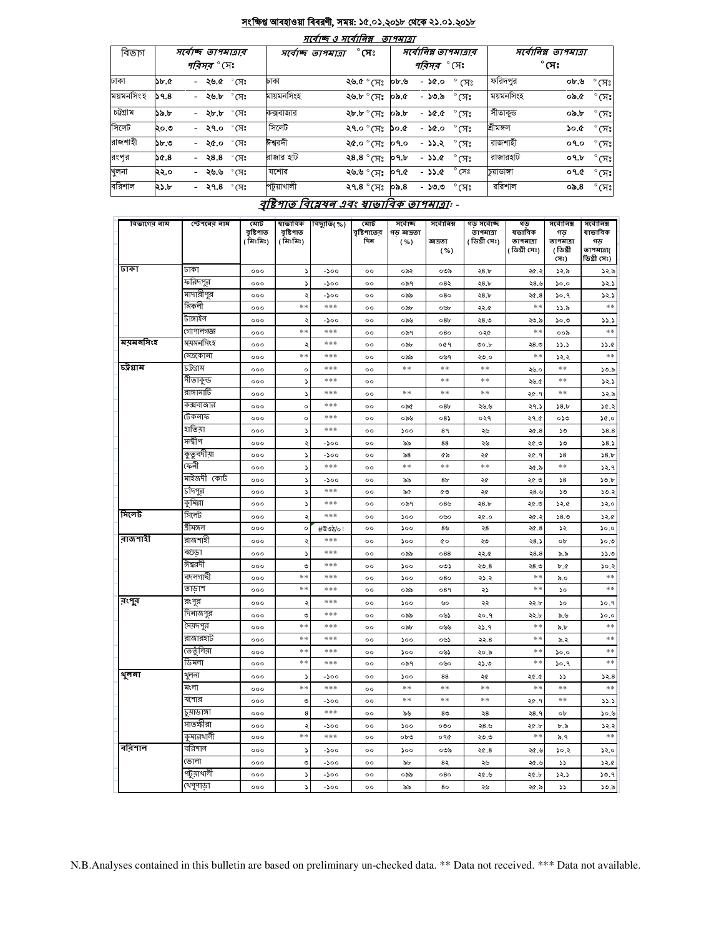#### সংক্ষিপ্ত আবহাওয়া বিবরণী, সময়: ১৫.০১.২০১৮ থেকে ২১.০১.২০১৮  $\overline{+}$

\_ \_

 $-$ 

|           |                                  |                                  |            | માવાજ હ માવાાવક્ષ                  | <i><b>9174191</b></i> |                    |                       |                      |              |                |
|-----------|----------------------------------|----------------------------------|------------|------------------------------------|-----------------------|--------------------|-----------------------|----------------------|--------------|----------------|
| বিভাগ     |                                  | সৰ্বোচ্ছ তাপমাত্ৰাব              |            | $^\circ$ সেঃ<br>সৰ্বোচ্ছ তাপমাত্ৰা |                       |                    | সর্বোনিম্ন তাপমাত্রার | সর্বোনিম্ন তাপমাত্রা |              |                |
|           |                                  | <i>পরিসর °</i> সেঃ               |            |                                    |                       | <i>পরিসর °</i> সেঃ |                       |                      | $^\circ$ সেঃ |                |
| ঢাকা      | $\mathcal{F} \times \mathcal{C}$ | - ২৬.৫ $\degree$ সেঃ             | ঢাকা       | ২৬.৫ ° সেঃ                         | ০৮.৬                  | - ১৫.০             | ° (ਸਃ                 | ফরিদপুর              | ০৮.৬         | $^{\circ}$ (সঃ |
| ময়মনসিংহ | 59.8                             | - ২৬.৮ °CI:                      | মায়মনসিংহ | ২৬.৮ ° সেঃ                         | ০৯.৫                  | - ১৩.৯             | $^\circ$ (ਸਃ          | ময়মনসিংহ            | ১.৫০         | $^{\circ}$ (সঃ |
| চট্টগ্ৰাম | ১৯.৮                             | $^\circ$ সেঃ<br>- ২৮.৮           | কক্সবাজার  | ২৮.৮ ° সেঃ                         | ৩৯.৮                  | - ১৫.৫             | ீ $K$ े               | সীতাকুড              | ৩৯.৮         | $^{\circ}$ (সঃ |
| সিলেট     | ২০.৩                             | $^{\circ}$ সেঃ<br>- ২৭.০         | সিলেট      | ২৭.০ ° সেঃ                         | 30.0                  | - ১৫.০             | $\degree$ মেঃ         | শ্ৰীমঙ্গল            | ১০.৫         | $^{\circ}$ (সঃ |
| রাজশাহী   | ১৮.৩                             | $^{\circ}$ সেঃ<br>- ২৫.০         | ঈশ্বরদী    | ংশ ° সেঃ                           | 09.0                  | - ১১.২ ° সেঃ       |                       | রাজশাহী              | ०१.०         | $^{\circ}$ (সঃ |
| রংপর      | $\mathcal{S}(.8)$                | $^{\circ}$ সেঃ<br>28.8<br>$\sim$ | রাজার হাট  | ২8.8 ° সেঃ                         | 09.b                  | - ১১.৫             | $^\circ$ সেঃ          | রাজারহাট             | 09.b         | $^{\circ}$ (সঃ |
| খুলনা     | ২২.০                             | $^{\circ}$ (সঃ<br>- ২৬.৬         | যশোর       | ২৬.৬ ° সেঃ                         | ०१.৫                  | $-35.0$            | $^{\circ}$ সেঃ        | চয়াডাঙ্গা           | ०१.৫         | $^{\circ}$ (সঃ |
| বরিশাল    | ২১.৮                             | - ২৭.৪ °সেঃ                      | পটুয়াখালী | ২৭.৪ $^{\circ}$ সেঃ                | ০৯.৪                  | - ১৩.৩             | $\degree$ মেঃ         | ররিশাল               | ০৯.৪         | $^{\circ}$ (সঃ |

## বৃষ্টিপাত বিশ্লেষন এবং ম্বাভাবিক তাপমাত্রা: -

| বিভাগের নাম | স্টেশনের নাম | মোট<br>বৃষ্টিশাত<br>(মিঃমিঃ) | ষাভাবিক<br>বৃষ্টিপাত<br>( মিঃমিঃ) | বিছ্যুতি(%) | মোট<br>বৃষ্টিশাতের<br>দিন | সৰ্বোচ্ছ<br>গড় আদ্রতা<br>( %) | সৰ্বোনিম্ন<br>আদ্ৰতা<br>( %) | গড় সৰ্বোচ্ছ<br>তাপমাত্রা<br>( ডিগ্ৰী সেঃ) | গড<br>ষভাবিক<br>তাপমাত্রা<br>( ডিগ্ৰী সেঃ) | সৰ্বোনিম্ন<br>গড<br>তাপমাত্রা<br>(ডিগ্ৰী<br>(সঃ) | সৰ্বোনিম্ন<br>ষাভাবিক<br>গড<br>তাপমাত্রা(<br>ডিগ্ৰী সেঃ) |
|-------------|--------------|------------------------------|-----------------------------------|-------------|---------------------------|--------------------------------|------------------------------|--------------------------------------------|--------------------------------------------|--------------------------------------------------|----------------------------------------------------------|
| ঢাকা        | ঢাকা         | 000                          | $\mathbf{A}$                      | $-500$      | 00                        | ০৯২                            | ০৩৯                          | 28.5                                       | ২৫.২                                       | ১২.৯                                             | ১২.৯                                                     |
|             | ফরিদপুর      | 000                          | ډ                                 | -200        | $^{\circ}$                | ০৯৭                            | ০৪২                          | 28.5                                       | 28.6                                       | ১০.০                                             | 32.5                                                     |
|             | মাদারীপুর    | 000                          | ২                                 | -200        | $^{\circ}$                | ০৯৯                            | 080                          | 28.5                                       | ২৫.8                                       | 30.9                                             | 32.5                                                     |
|             | নিকলী        | 000                          | **                                | ***         | 00                        | ০৯৮                            | ০৬৮                          | ২২.৫                                       | $**$                                       | 33.5                                             | $\ast$                                                   |
|             | টাঙ্গাইল     | 000                          | ২                                 | -১০০        | $^{\circ}$                | ০৯৬                            | 08 <sub>b</sub>              | ২৪.৩                                       | ২৩.৯                                       | ১০.৩                                             | 33.3                                                     |
|             | গোপালগজ্ঞ    | 000                          | $**$                              | ***         | $^{\circ}$                | ০৯৭                            | 080                          | ০২৫                                        | $**$                                       | ০০৯                                              | $\ast$ $\ast$                                            |
| ময়মনসিংহ   | ময়মনসিংহ    | 000                          | ډ                                 | ***         | 00                        | ০৯৮                            | ०৫१                          | 00.b                                       | ২৪.৩                                       | 33.5                                             | 33.0                                                     |
|             | নেত্ৰকোনা    | 000                          | **                                | ***         | $^{\circ}$                | ০৯৯                            | ০৬৭                          | ২৩.০                                       | $* *$                                      | ১২.২                                             | $**$                                                     |
| চট্টগ্রাম   | ঢট্রগ্রাম    | 000                          | $\circ$                           | ***         | $^{\circ}$                | **                             | $**$                         | **                                         | ২৬.০                                       | **                                               | ১৩.৯                                                     |
|             | সীতাকুন্ড    | 000                          | $\overline{\phantom{a}}$          | ***         | 0 <sup>o</sup>            |                                | $**$                         | $**$                                       | ২৬.৫                                       | $**$                                             | 32.5                                                     |
|             | রাঙ্গামার্টি | 000                          | S                                 | ***         | $^{\circ}$                | **                             | **                           | **                                         | ২৫.৭                                       | **                                               | 32.5                                                     |
|             | কক্সবাজার    | 000                          | $\circ$                           | ***         | $^{oo}$                   | ০৯৫                            | 08 <sub>b</sub>              | ২৬.৬                                       | ২৭.১                                       | 58.5                                             | 30.3                                                     |
|             | টেকনাফ       | 000                          | $\circ$                           | ***         | $^{oo}$                   | ০৯৬                            | 08                           | ०२१                                        | ২৭.৫                                       | ০১৩                                              | 30.0                                                     |
|             | হাতিয়া      | 000                          | ډ                                 | ***         | $^{\circ}$                | ১০০                            | 8۹                           | ২৬                                         | ২৫.৪                                       | ১৩                                               | 58.8                                                     |
|             | সন্দ্বীপ     | 000                          | ২                                 | $-200$      | $^{\circ}$                | ৯৯                             | 88                           | ২৬                                         | ২৫.৩                                       | ১৩                                               | 58.5                                                     |
|             | কুতুবদীয়া   | 000                          | S                                 | $-200$      | $\circ$                   | $\mathbf{58}$                  | ৫৯                           | ২৫                                         | ২৫.৭                                       | 58                                               | 58.b                                                     |
|             | কেনী         | 000                          | ډ                                 | ***         | $^{\circ}$                | **                             | $**$                         | **                                         | ২৫.৯                                       | **                                               | 32.9                                                     |
|             | মাইজদী কোর্ট | 000                          | $\blacktriangleright$             | $-200$      | $^{oo}$                   | ৯৯                             | 8 <sub>b</sub>               | ২৫                                         | ২৫.৩                                       | 58                                               | 50.b                                                     |
|             | চাঁদপুর      | 000                          | $\blacktriangleright$             | ***         | $\circ$                   | ৯৫                             | ৫৩                           | ২৫                                         | 28.6                                       | ১৩                                               | 50.3                                                     |
|             | কৃমিল্লা     | 000                          | ډ                                 | ***         | $^{\circ}$                | ০৯৭                            | ০8৬                          | 28.5                                       | ২৫.৩                                       | 32.6                                             | ১২.০                                                     |
| সিলেট       | সিলেট        | 000                          | ২                                 | ***         | $^{oo}$                   | ১০০                            | ০৬০                          | ২৫.০                                       | ২৫.২                                       | 58.0                                             | 32.6                                                     |
|             | শ্ৰীমঙ্গল    | 000                          | $\circ$                           | #উওঠ/০!     | $^{\circ}$                | 500                            | 8 <sub>b</sub>               | ২৪                                         | ২৫.8                                       | ১২                                               | 50.0                                                     |
| ৰাজশাহী     | রাজশাহী      | 000                          | $\mathbf{r}$                      | ***         | $\circ$                   | 500                            | <b>CO</b>                    | ২৩                                         | 28.5                                       | ob                                               | 50.9                                                     |
|             | বগুডা        | 000                          | $\blacktriangleright$             | ***         | $^{oo}$                   | ০৯৯                            | 088                          | ২২.৫                                       | 28.8                                       | ৯.৯                                              | 33.3                                                     |
|             | ঈশ্বরদী      | 000                          | ৩                                 | ***         | $^{\circ}$                | ১০০                            | ০৩১                          | 20.8                                       | ২৪.৩                                       | b.C                                              | 30.3                                                     |
|             | বদলগাঘী      | 000                          | **                                | ***         | $^{\circ}$                | 500                            | 080                          | ২১.২                                       | **                                         | ৯.০                                              | $**$                                                     |
|             | তাডাশ        | 000                          | **                                | ***         | $^{\circ}$                | ০৯৯                            | 089                          | ২১                                         | $**$                                       | ১০                                               | $**$                                                     |
| রংগুব       | রংপুর        | 000                          | ২                                 | ***         | $^{\circ}$                | ১০০                            | ৬০                           | ২২                                         | ২২.৮                                       | ১০                                               | 30.9                                                     |
|             | দিনাজপুর     | 000                          | ৩                                 | ***         | $\circ$                   | ০৯৯                            | ০৬১                          | २०.१                                       | ২২.৮                                       | ৯.৬                                              | 50.0                                                     |
|             | সৈয়দপুর     | 000                          | **                                | ***         | 00                        | ০৯৮                            | ০৬৬                          | ২১.৭                                       | $**$                                       | ৯.৮                                              | $**$                                                     |
|             | রাজারহাট     | 000                          | **                                | ***         | $^{\circ}$                | ১০০                            | ০৬১                          | ২২.৪                                       | $* *$                                      | ৯.২                                              | $**$                                                     |
|             | তেতুঁলিয়া   | 000                          | **                                | ***         | $^{oo}$                   | 500                            | ০৬১                          | ২০.৯                                       | $**$                                       | 0.06                                             | $**$                                                     |
|             | ডিমলা        | 000                          | **                                | ***         | $^{\circ}$                | ০৯৭                            | ০৬০                          | ২১.৩                                       | $**$                                       | 9.9                                              | $**$                                                     |
| থুলনা       | থুলনা        | 000                          | د                                 | -200        | $^{\circ}$                | ১০০                            | 88                           | ২৫                                         | ২৫.৫                                       | دد                                               | 52.8                                                     |
|             | মংলা         | 000                          | $**$                              | ***         | $^{oo}$                   | $**$                           | **                           | **                                         | $**$                                       | **                                               | $**$                                                     |
|             | যশোর         | 000                          | ৩                                 | -200        | $^{\circ}$                | **                             | $**$                         | **                                         | ২৫.৭                                       | **                                               | 33.3                                                     |
|             | চুয়াডাঙ্গা  | 000                          | 8                                 | ***         | $^{\circ}$                | ৯৬                             | 8 <sub>0</sub>               | ২৪                                         | २8.१                                       | ob                                               | 30.6                                                     |
|             | সাতস্কীরা    | 000                          | ۵                                 | $-200$      | $^{oo}$                   | 500                            | ०७०                          | ২৪.৬                                       | ২৫.৮                                       | ৮.৯                                              | 32.3                                                     |
|             | কুমারথালী    | 000                          | **                                | ***         | $^{oo}$                   | $ob$ ৩                         | ०१৫                          | ২৩.৩                                       | $**$                                       | ৯.৭                                              | $**$                                                     |
| ববিশাল      | বরিশাল       | 000                          | S                                 | -200        | $^{\circ}$                | 500                            | ০৩৯                          | ২৫.৪                                       | ২৫.৬                                       | ১০.২                                             | ১২.০                                                     |
|             | ভোলা         | 000                          | ৩                                 | $-500$      | $^{oo}$                   | ৯৮                             | 8২                           | ২৬                                         | ২৫.৬                                       | دد                                               | 32.6                                                     |
|             | পটুয়াথালী   | 000                          | ډ                                 | -200        | $^{\circ}$                | ০৯৯                            | 080                          | ২৫.৬                                       | ২৫.৮                                       | 32.5                                             | 30.9                                                     |
|             | খেপুপাড়া    | 000                          | ς                                 | $-500$      | $^{\circ}$                | ৯৯                             | 80                           | ২৬                                         | ২৫.৯                                       | دد                                               | ১৩.৯                                                     |

N.B.Analyses contained in this bulletin are based on preliminary un-checked data. \*\* Data not received. \*\*\* Data not available.